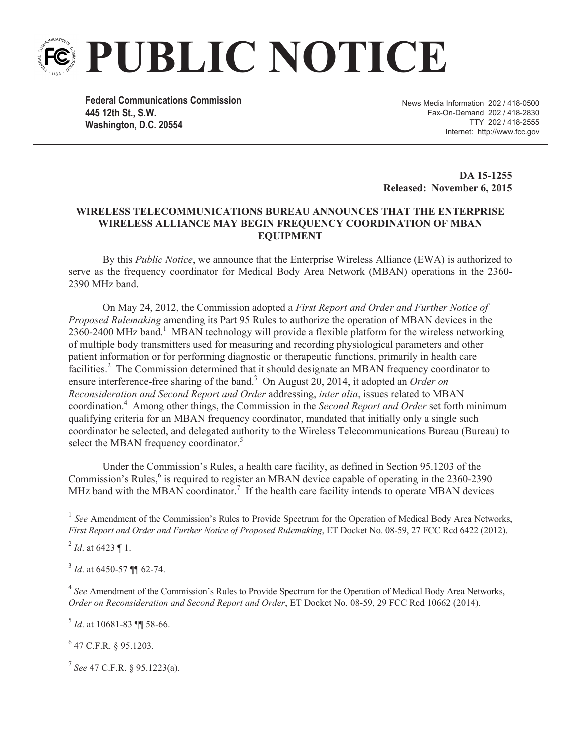

**Federal Communications Commission 445 12th St., S.W. Washington, D.C. 20554**

News Media Information 202 / 418-0500 Fax-On-Demand 202 / 418-2830 TTY 202 / 418-2555 Internet: http://www.fcc.gov

**DA 15-1255 Released: November 6, 2015**

## **WIRELESS TELECOMMUNICATIONS BUREAU ANNOUNCES THAT THE ENTERPRISE WIRELESS ALLIANCE MAY BEGIN FREQUENCY COORDINATION OF MBAN EQUIPMENT**

By this *Public Notice*, we announce that the Enterprise Wireless Alliance (EWA) is authorized to serve as the frequency coordinator for Medical Body Area Network (MBAN) operations in the 2360- 2390 MHz band.

On May 24, 2012, the Commission adopted a *First Report and Order and Further Notice of Proposed Rulemaking* amending its Part 95 Rules to authorize the operation of MBAN devices in the  $2360-2400$  MHz band.<sup>1</sup> MBAN technology will provide a flexible platform for the wireless networking of multiple body transmitters used for measuring and recording physiological parameters and other patient information or for performing diagnostic or therapeutic functions, primarily in health care facilities.<sup>2</sup> The Commission determined that it should designate an MBAN frequency coordinator to ensure interference-free sharing of the band.<sup>3</sup> On August 20, 2014, it adopted an *Order on Reconsideration and Second Report and Order* addressing, *inter alia*, issues related to MBAN coordination.<sup>4</sup> Among other things, the Commission in the *Second Report and Order* set forth minimum qualifying criteria for an MBAN frequency coordinator, mandated that initially only a single such coordinator be selected, and delegated authority to the Wireless Telecommunications Bureau (Bureau) to select the MBAN frequency coordinator.<sup>5</sup>

Under the Commission's Rules, a health care facility, as defined in Section 95.1203 of the Commission's Rules,<sup>6</sup> is required to register an MBAN device capable of operating in the 2360-2390 MHz band with the MBAN coordinator.<sup>7</sup> If the health care facility intends to operate MBAN devices

5 *Id*. at 10681-83 ¶¶ 58-66.

 $^{6}$  47 C.F.R. § 95.1203.

7 *See* 47 C.F.R. § 95.1223(a).

<sup>&</sup>lt;sup>1</sup> See Amendment of the Commission's Rules to Provide Spectrum for the Operation of Medical Body Area Networks, *First Report and Order and Further Notice of Proposed Rulemaking*, ET Docket No. 08-59, 27 FCC Rcd 6422 (2012).

<sup>2</sup> *Id*. at 6423 ¶ 1.

<sup>&</sup>lt;sup>3</sup> *Id.* at 6450-57 ¶¶ 62-74.

<sup>&</sup>lt;sup>4</sup> See Amendment of the Commission's Rules to Provide Spectrum for the Operation of Medical Body Area Networks, *Order on Reconsideration and Second Report and Order*, ET Docket No. 08-59, 29 FCC Rcd 10662 (2014).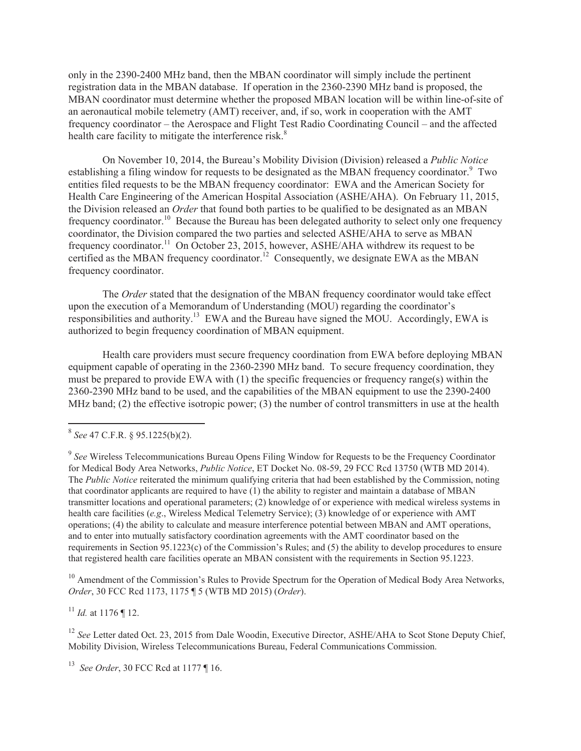only in the 2390-2400 MHz band, then the MBAN coordinator will simply include the pertinent registration data in the MBAN database. If operation in the 2360-2390 MHz band is proposed, the MBAN coordinator must determine whether the proposed MBAN location will be within line-of-site of an aeronautical mobile telemetry (AMT) receiver, and, if so, work in cooperation with the AMT frequency coordinator – the Aerospace and Flight Test Radio Coordinating Council – and the affected health care facility to mitigate the interference risk.<sup>8</sup>

On November 10, 2014, the Bureau's Mobility Division (Division) released a *Public Notice* establishing a filing window for requests to be designated as the MBAN frequency coordinator.<sup>9</sup> Two entities filed requests to be the MBAN frequency coordinator: EWA and the American Society for Health Care Engineering of the American Hospital Association (ASHE/AHA). On February 11, 2015, the Division released an *Order* that found both parties to be qualified to be designated as an MBAN frequency coordinator.<sup>10</sup> Because the Bureau has been delegated authority to select only one frequency coordinator, the Division compared the two parties and selected ASHE/AHA to serve as MBAN frequency coordinator.<sup>11</sup> On October 23, 2015, however, ASHE/AHA withdrew its request to be certified as the MBAN frequency coordinator.<sup>12</sup> Consequently, we designate EWA as the MBAN frequency coordinator.

The *Order* stated that the designation of the MBAN frequency coordinator would take effect upon the execution of a Memorandum of Understanding (MOU) regarding the coordinator's responsibilities and authority.<sup>13</sup> EWA and the Bureau have signed the MOU. Accordingly, EWA is authorized to begin frequency coordination of MBAN equipment.

Health care providers must secure frequency coordination from EWA before deploying MBAN equipment capable of operating in the 2360-2390 MHz band. To secure frequency coordination, they must be prepared to provide EWA with  $(1)$  the specific frequencies or frequency range(s) within the 2360-2390 MHz band to be used, and the capabilities of the MBAN equipment to use the 2390-2400 MHz band; (2) the effective isotropic power; (3) the number of control transmitters in use at the health

<sup>10</sup> Amendment of the Commission's Rules to Provide Spectrum for the Operation of Medical Body Area Networks, *Order*, 30 FCC Rcd 1173, 1175 ¶ 5 (WTB MD 2015) (*Order*).

 $^{11}$  *Id.* at 1176 ¶ 12.

<sup>12</sup> *See* Letter dated Oct. 23, 2015 from Dale Woodin, Executive Director, ASHE/AHA to Scot Stone Deputy Chief, Mobility Division, Wireless Telecommunications Bureau, Federal Communications Commission.

<sup>13</sup> *See Order*, 30 FCC Rcd at 1177 ¶ 16.

<sup>8</sup> *See* 47 C.F.R. § 95.1225(b)(2).

<sup>&</sup>lt;sup>9</sup> See Wireless Telecommunications Bureau Opens Filing Window for Requests to be the Frequency Coordinator for Medical Body Area Networks, *Public Notice*, ET Docket No. 08-59, 29 FCC Rcd 13750 (WTB MD 2014). The *Public Notice* reiterated the minimum qualifying criteria that had been established by the Commission, noting that coordinator applicants are required to have (1) the ability to register and maintain a database of MBAN transmitter locations and operational parameters; (2) knowledge of or experience with medical wireless systems in health care facilities (*e.g*., Wireless Medical Telemetry Service); (3) knowledge of or experience with AMT operations; (4) the ability to calculate and measure interference potential between MBAN and AMT operations, and to enter into mutually satisfactory coordination agreements with the AMT coordinator based on the requirements in Section 95.1223(c) of the Commission's Rules; and (5) the ability to develop procedures to ensure that registered health care facilities operate an MBAN consistent with the requirements in Section 95.1223.